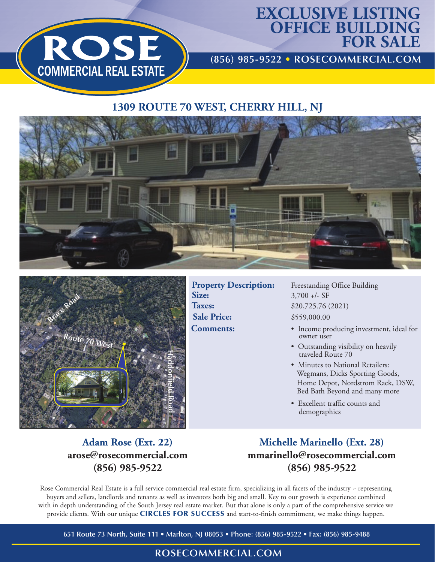

# **EXCLUSIVE LISTING OFFICE BUILDING FOR SALE**

**(856) 985-9522 • ROSECOMMERCIAL.COM**

## **1309 ROUTE 70 WEST, CHERRY HILL, NJ**





**Property Description:** Freestanding Office Building **Size:**  $3,700 +/-$  SF **Taxes:**  $$20,725.76 (2021)$ **Sale Price:**  $$559,000.00$ 

- **Comments:**  Income producing investment, ideal for owner user
	- Outstanding visibility on heavily traveled Route 70
	- Minutes to National Retailers: Wegmans, Dicks Sporting Goods, Home Depot, Nordstrom Rack, DSW, Bed Bath Beyond and many more
	- Excellent traffic counts and demographics

#### **Adam Rose (Ext. 22) arose@rosecommercial.com (856) 985-9522**

**Michelle Marinello (Ext. 28) mmarinello@rosecommercial.com (856) 985-9522**

Rose Commercial Real Estate is a full service commercial real estate firm, specializing in all facets of the industry - representing buyers and sellers, landlords and tenants as well as investors both big and small. Key to our growth is experience combined with in depth understanding of the South Jersey real estate market. But that alone is only a part of the comprehensive service we provide clients. With our unique CIRCLES FOR SUCCESS and start-to-finish commitment, we make things happen.

**651 Route 73 North, Suite 111 • Marlton, NJ 08053 • Phone: (856) 985-9522 • Fax: (856) 985-9488**

#### **ROSECOMMERCIAL.COM**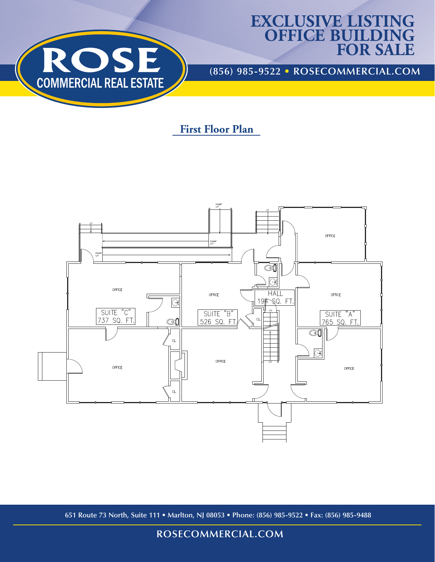

## **EXCLUSIVE LISTING OFFICE BUILDING FOR SALE**

**(856) 985-9522 • ROSECOMMERCIAL.COM**

## **First Floor Plan**



**651 Route 73 North, Suite 111 • Marlton, NJ 08053 • Phone: (856) 985-9522 • Fax: (856) 985-9488**

#### **ROSECOMMERCIAL.COM**